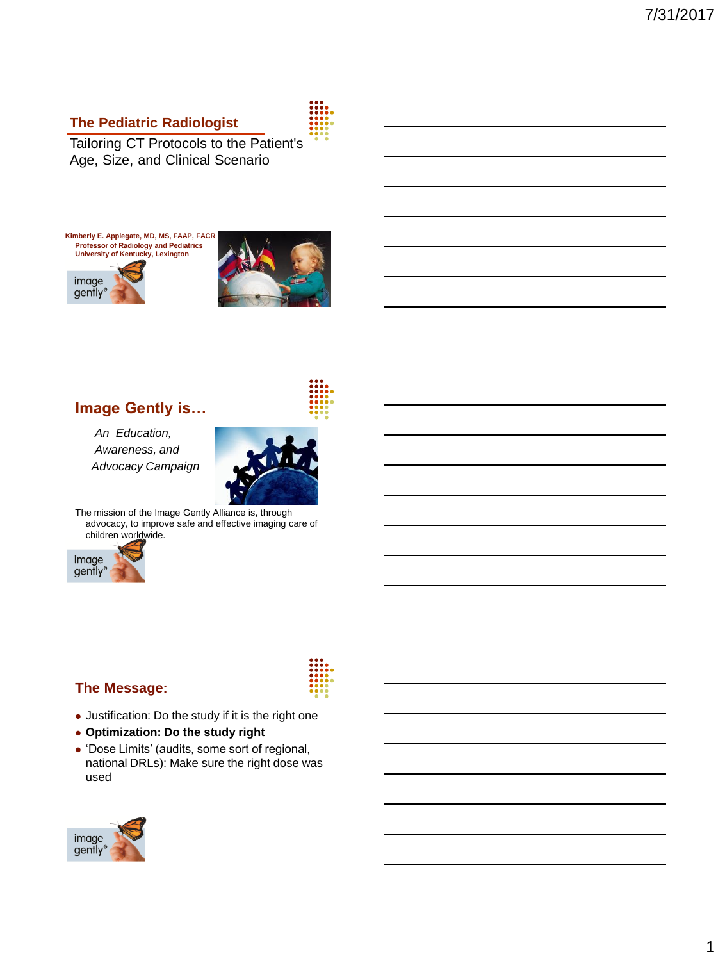#### **The Pediatric Radiologist**

Tailoring CT Protocols to the Patient's Age, Size, and Clinical Scenario



gently®



## **Image Gently is…**

*An Education, Awareness, and Advocacy Campaign* 



The mission of the Image Gently Alliance is, through advocacy, to improve safe and effective imaging care of children worldwide.



#### **The Message:**

- Justification: Do the study if it is the right one
- **Optimization: Do the study right**
- 'Dose Limits' (audits, some sort of regional, national DRLs): Make sure the right dose was used



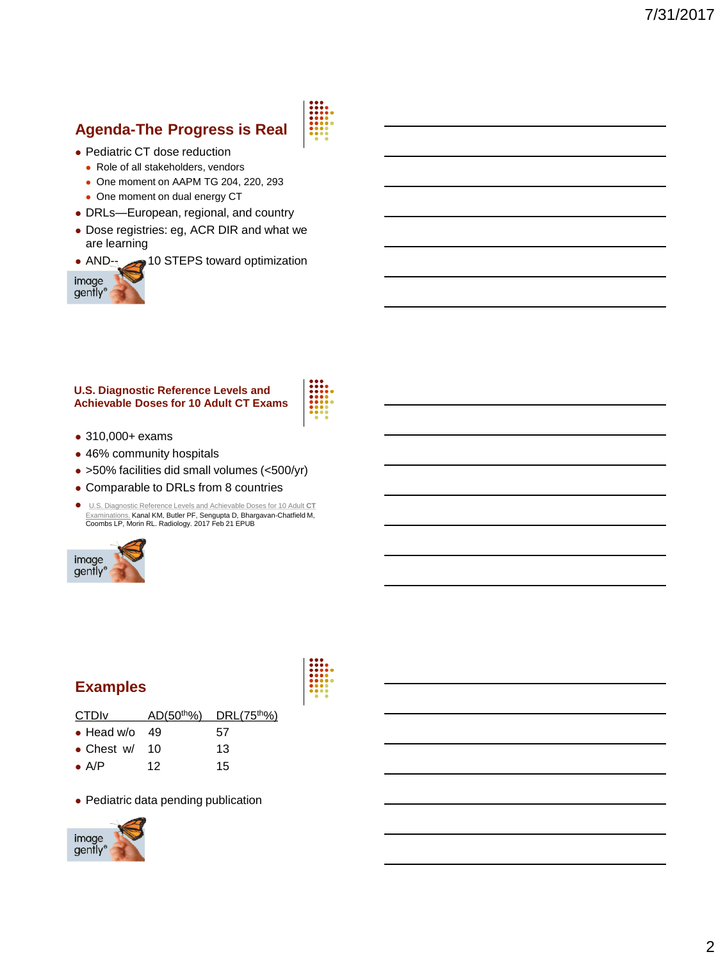# **Agenda-The Progress is Real**



- Pediatric CT dose reduction
	- Role of all stakeholders, vendors
	- One moment on AAPM TG 204, 220, 293
	- One moment on dual energy CT
- DRLs—European, regional, and country
- Dose registries: eg, ACR DIR and what we are learning
- AND- $\rightarrow$  10 STEPS toward optimization



#### **U.S. Diagnostic Reference Levels and Achievable Doses for 10 Adult CT Exams**



- 310,000+ exams
- 46% community hospitals
- >50% facilities did small volumes (<500/yr)
- Comparable to DRLs from 8 countries
- [U.S. Diagnostic Reference Levels and Achievable Doses for 10 Adult](https://www.ncbi.nlm.nih.gov/pubmed/28221093) **CT** Examinations. Kanal KM, Butler PF, Sengupta D, Bhargavan-Chatfield M, Coombs LP, Morin RL. Radiology. 2017 Feb 21 EPUB



## **Examples**

| <b>CTDIV</b>          |    | $AD(50th)$ DRL $(75th)$ |
|-----------------------|----|-------------------------|
| $\bullet$ Head w/o 49 |    | 57                      |
| • Chest $w/$ 10       |    | 13                      |
| $\bullet$ A/P         | 12 | 15                      |

• Pediatric data pending publication

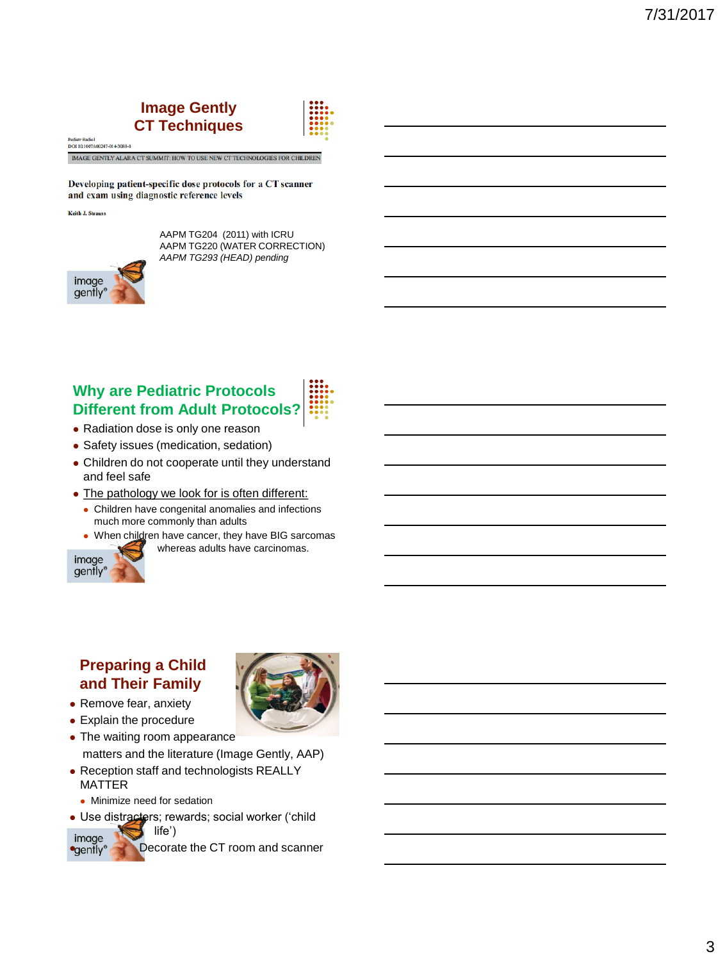## **Image Gently CT Techniques**



**Pediatr Radiol** DOI 10.1007/s00247-014-3088-8

MAGE GENTLY ALARA CT SUMMIT: HOW TO USE NEW CT TECHNOLOGIES FOR CHILDREN

Developing patient-specific dose protocols for a CT scanner and exam using diagnostic reference levels

**Keith J. Strauss** 



AAPM TG204 (2011) with ICRU AAPM TG220 (WATER CORRECTION) *AAPM TG293 (HEAD) pending*

## **Why are Pediatric Protocols Different from Adult Protocols?**

- Radiation dose is only one reason
- Safety issues (medication, sedation)
- Children do not cooperate until they understand and feel safe
- The pathology we look for is often different:
	- Children have congenital anomalies and infections much more commonly than adults
	- When children have cancer, they have BIG sarcomas whereas adults have carcinomas.



## **Preparing a Child and Their Family**

- Remove fear, anxiety
- Explain the procedure
- The waiting room appearance matters and the literature (Image Gently, AAP)
- Reception staff and technologists REALLY MATTER
- Minimize need for sedation
- Use distracters; rewards; social worker ('child life')

image **Decorate the CT** room and scanner

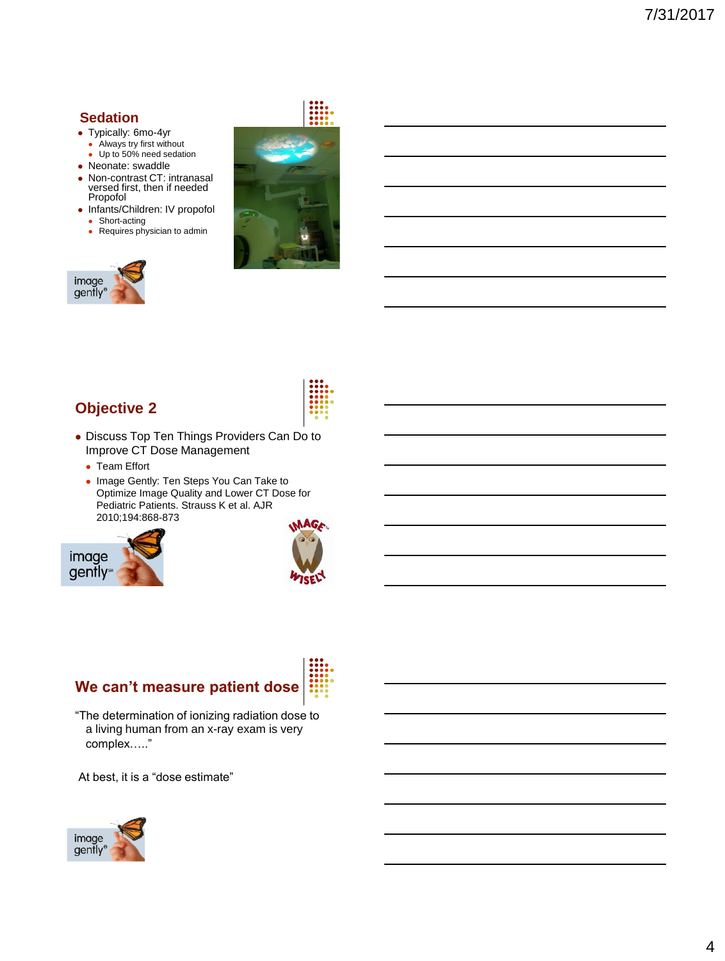#### **Sedation**

image gently®

- Typically: 6mo-4yr
- Always try first without
- Up to 50% need sedation
- Neonate: swaddle
- Non-contrast CT: intranasal versed first, then if needed Propofol
- Infants/Children: IV propofol • Short-acting
- Requires physician to admin



## **Objective 2**

- Discuss Top Ten Things Providers Can Do to Improve CT Dose Management
	- Team Effort
	- Image Gently: Ten Steps You Can Take to Optimize Image Quality and Lower CT Dose for Pediatric Patients. Strauss K et al. AJR 2010;194:868-873





# **We can't measure patient dose**

"The determination of ionizing radiation dose to a living human from an x-ray exam is very complex….."

At best, it is a "dose estimate"

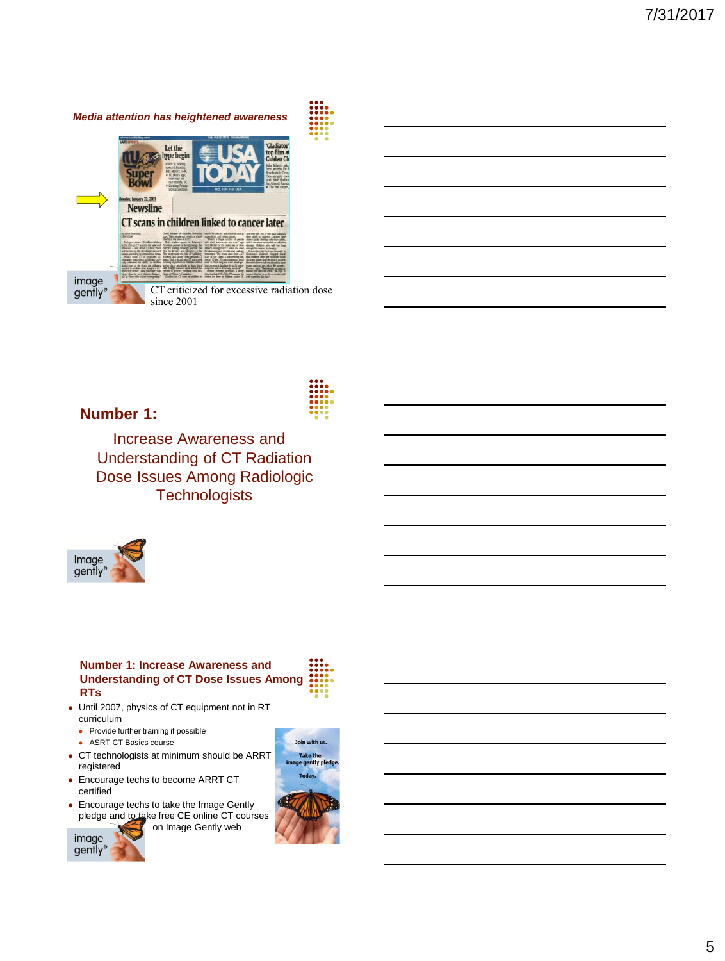



**Number 1:**

Increase Awareness and Understanding of CT Radiation Dose Issues Among Radiologic **Technologists** 



#### **Number 1: Increase Awareness and Understanding of CT Dose Issues Among RTs**

- Until 2007, physics of CT equipment not in RT curriculum
	- Provide further training if possible
	- ASRT CT Basics course
- CT technologists at minimum should be ARRT registered
- Encourage techs to become ARRT CT certified
- Encourage techs to take the Image Gently pledge and to take free CE online CT courses on Image Gently web



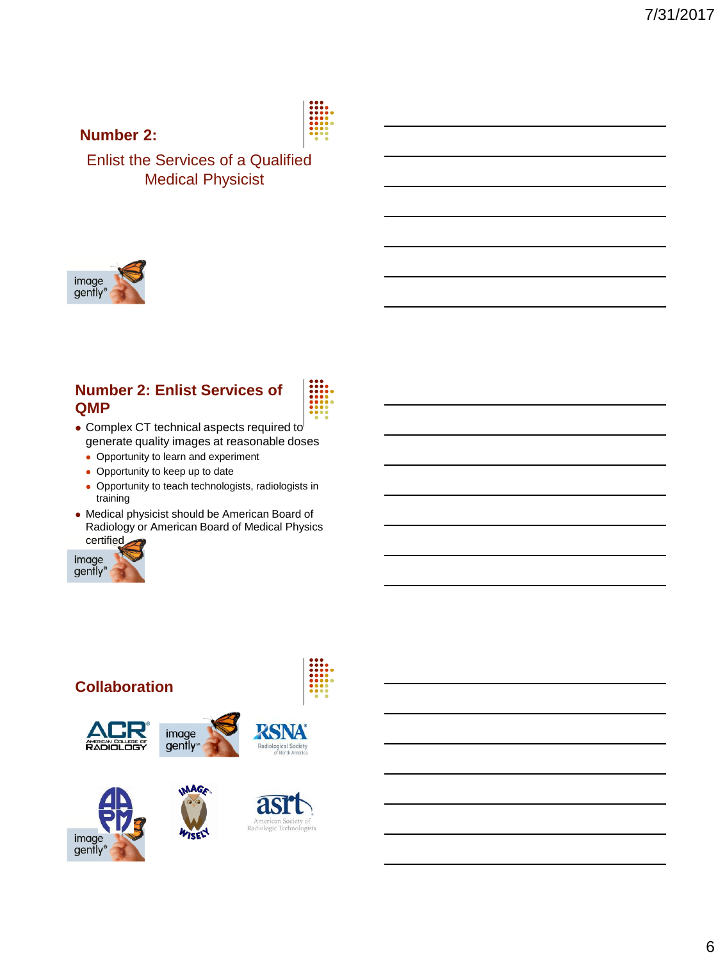#### **Number 2:**



Enlist the Services of a Qualified Medical Physicist



## **Number 2: Enlist Services of QMP**



- Complex CT technical aspects required to generate quality images at reasonable doses
	- Opportunity to learn and experiment
	- Opportunity to keep up to date
	- Opportunity to teach technologists, radiologists in training
- Medical physicist should be American Board of Radiology or American Board of Medical Physics certified



#### **Collaboration**











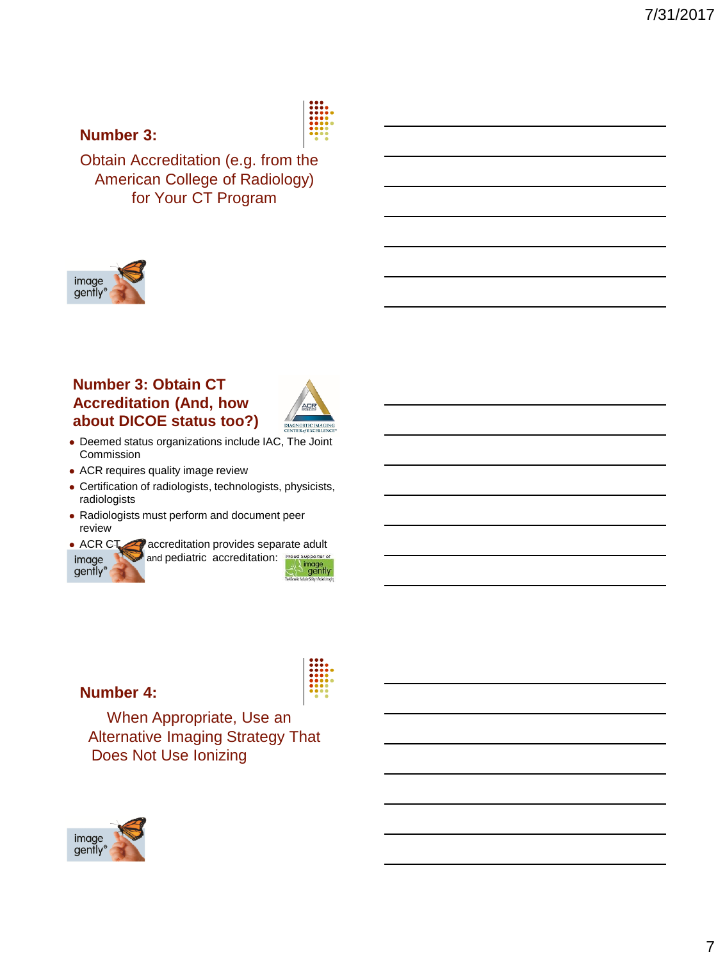## **Number 3:**



Obtain Accreditation (e.g. from the American College of Radiology) for Your CT Program



## **Number 3: Obtain CT Accreditation (And, how about DICOE status too?)**



- Deemed status organizations include IAC, The Joint Commission
- ACR requires quality image review
- Certification of radiologists, technologists, physicists, radiologists
- Radiologists must perform and document peer review
- ACR CT accreditation provides separate adult and pediatric accreditation: **Proud Supporter of** image image<br>gently gently<sup>®</sup>



#### **Number 4:**

When Appropriate, Use an Alternative Imaging Strategy That Does Not Use Ionizing

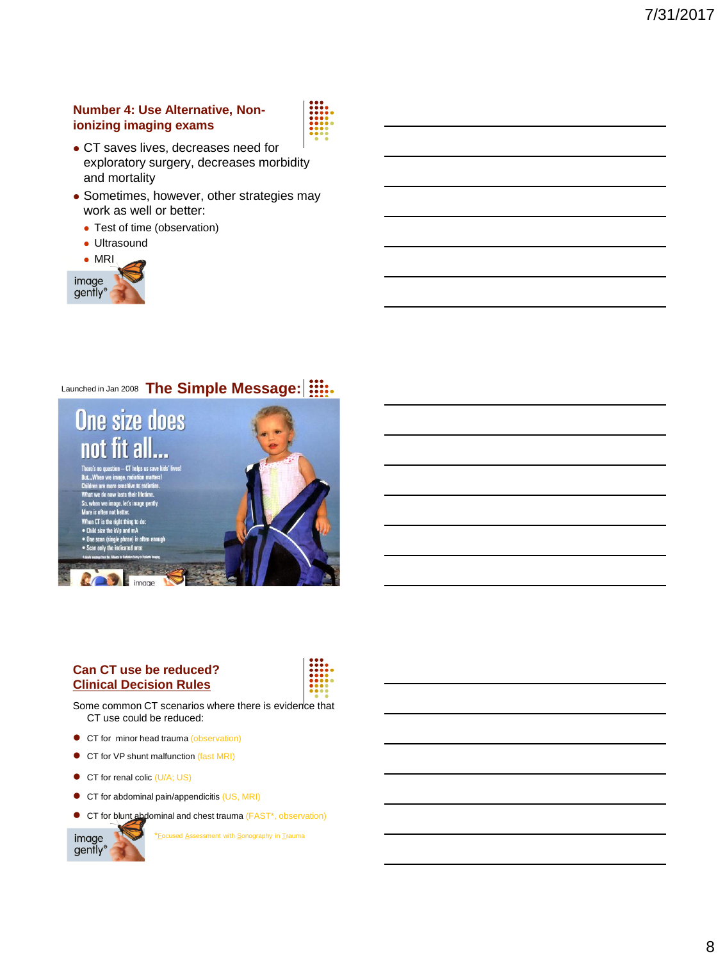#### **Number 4: Use Alternative, Nonionizing imaging exams**



- CT saves lives, decreases need for exploratory surgery, decreases morbidity and mortality
- Sometimes, however, other strategies may work as well or better:
	- Test of time (observation)
	- Ultrasound



## Launched in Jan 2008 **The Simple Message:** |  $\frac{111}{2112}$



#### **Can CT use be reduced? Clinical Decision Rules**



Some common CT scenarios where there is evidence that CT use could be reduced:

- **CT** for minor head trauma (observation)
- CT for VP shunt malfunction (fast MRI)
- CT for renal colic (U/A; US)
- CT for abdominal pain/appendicitis (US, MRI)
- CT for blunt abdominal and chest trauma (FAST\*, observation)



\*Focused Assessment with Sonography in Trauma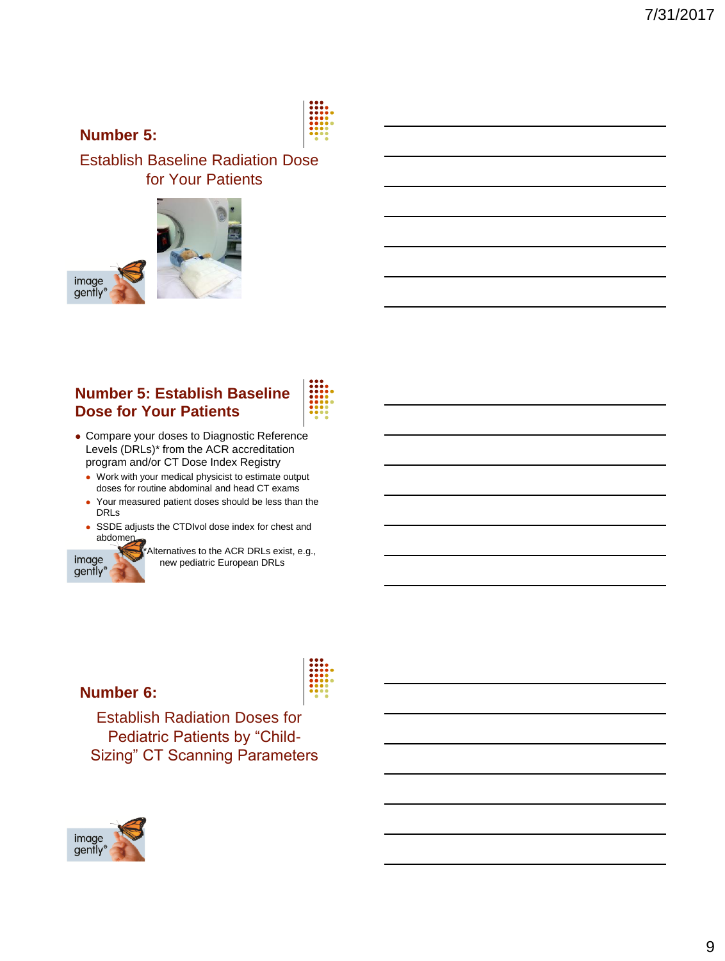

**Number 5:**

image gently®

Establish Baseline Radiation Dose for Your Patients



## **Number 5: Establish Baseline Dose for Your Patients**



- Compare your doses to Diagnostic Reference Levels (DRLs)\* from the ACR accreditation program and/or CT Dose Index Registry
	- Work with your medical physicist to estimate output doses for routine abdominal and head CT exams
	- Your measured patient doses should be less than the DRLs
	- SSDE adjusts the CTDIvol dose index for chest and abdomen



Alternatives to the ACR DRLs exist, e.g., new pediatric European DRLs

#### **Number 6:**

Establish Radiation Doses for Pediatric Patients by "Child-Sizing" CT Scanning Parameters

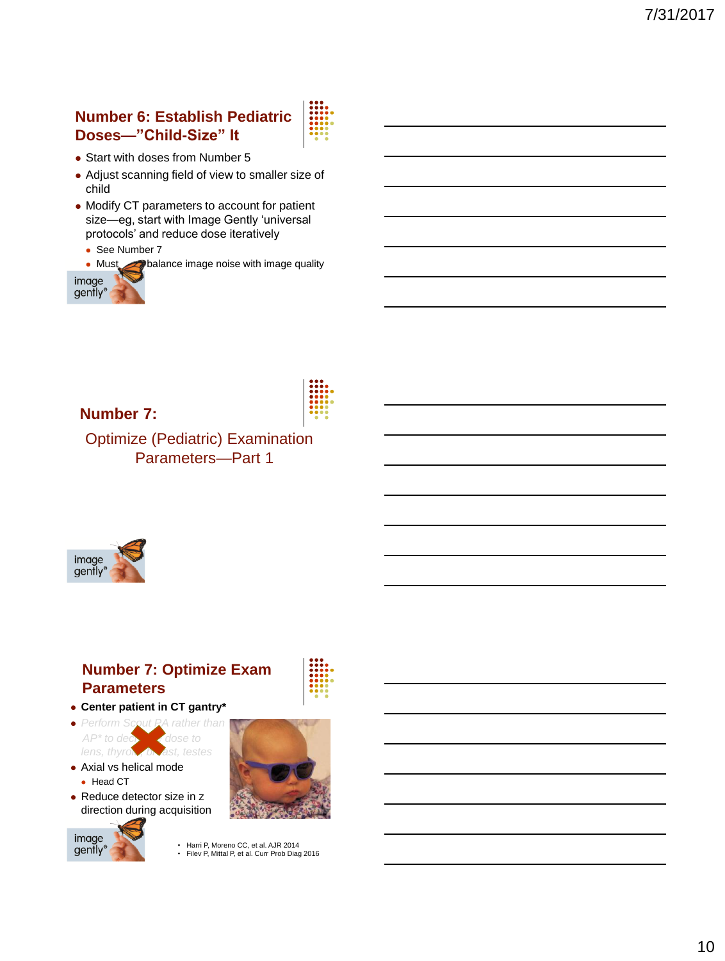## **Number 6: Establish Pediatric Doses—"Child-Size" It**



- Start with doses from Number 5
- Adjust scanning field of view to smaller size of child
- Modify CT parameters to account for patient size—eg, start with Image Gently 'universal protocols' and reduce dose iteratively
	- See Number 7
	- Must balance image noise with image quality





**Number 7:**

Optimize (Pediatric) Examination Parameters—Part 1



## **Number 7: Optimize Exam Parameters**



- *Perform Scout PA rather than AP\** to decrease dose to *AP\** to decrease to *AP\** to decrease the decrease of *AP\** to decrease the decrease of *AP\** to decrease the decrease of *AP\** to decrease the decrease of *AP\** to decrease the decrease of *lens, thyroid, b*
- Axial vs helical mode • Head CT
- Reduce detector size in z direction during acquisition





• Harri P, Moreno CC, et al. AJR 2014 • Filev P, Mittal P, et al. Curr Prob Diag 2016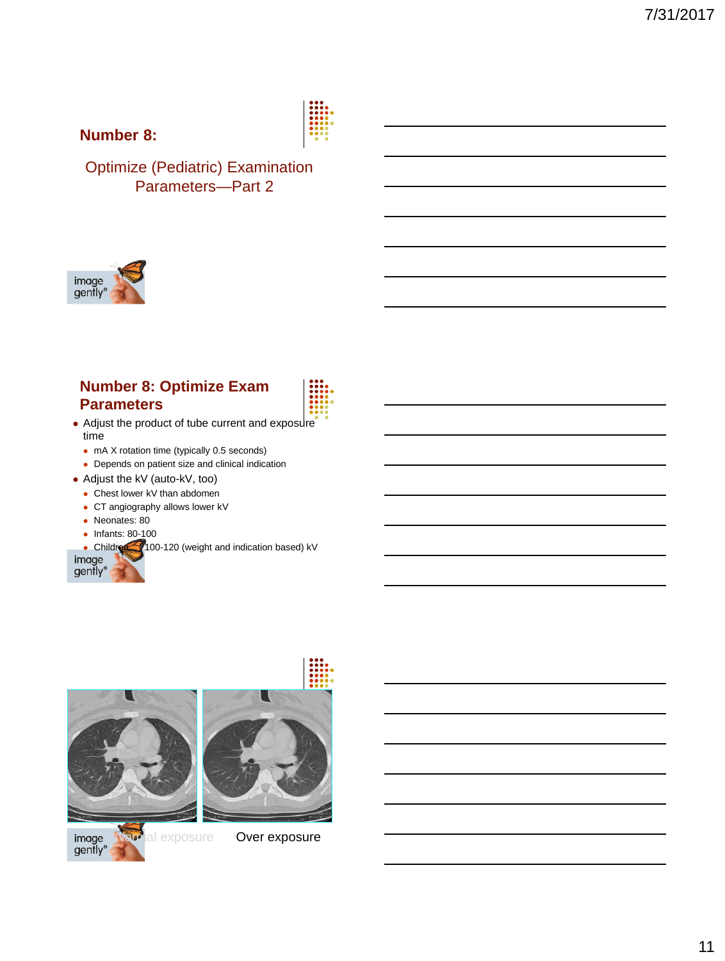

## **Number 8:**

Optimize (Pediatric) Examination Parameters—Part 2



#### **Number 8: Optimize Exam Parameters**



- Adjust the product of tube current and exposure time
	- mA X rotation time (typically 0.5 seconds)
	- Depends on patient size and clinical indication
- Adjust the kV (auto-kV, too)
	- Chest lower kV than abdomen
	- CT angiography allows lower kV
	- Neonates: 80
	- Infants: 80-100





image gently®



**Mal exposure Over exposure** 

 $\blacksquare$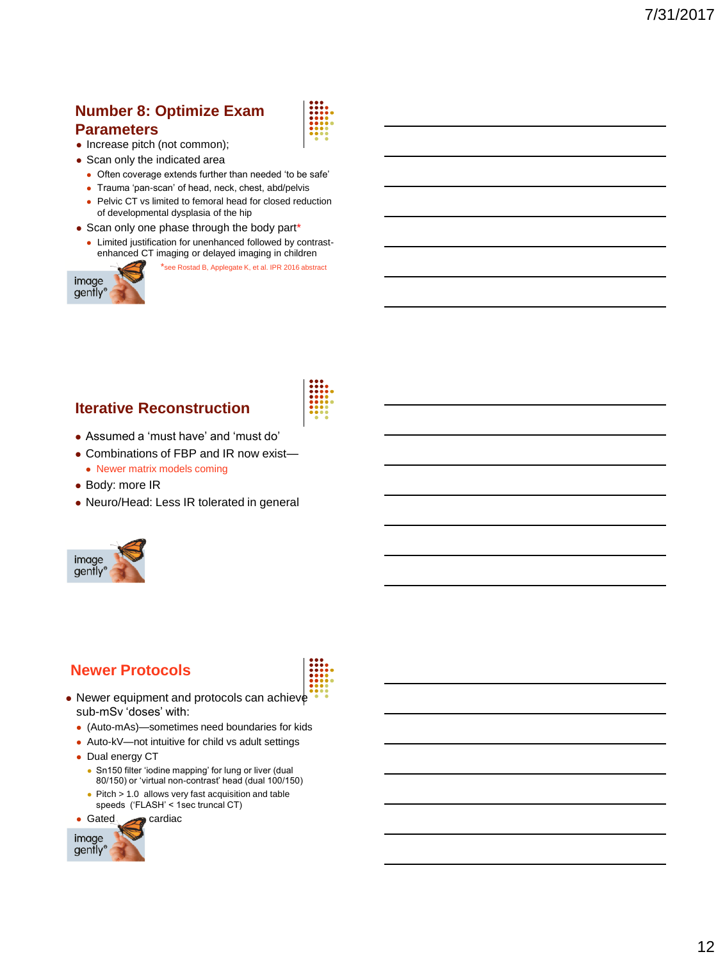## **Number 8: Optimize Exam**

#### **Parameters**

image gently<sup>®</sup>

- Increase pitch (not common);
- Scan only the indicated area
	- Often coverage extends further than needed 'to be safe'
	- Trauma 'pan-scan' of head, neck, chest, abd/pelvis
	- Pelvic CT vs limited to femoral head for closed reduction of developmental dysplasia of the hip
- Scan only one phase through the body part\*
	- Limited justification for unenhanced followed by contrastenhanced CT imaging or delayed imaging in children



## **Iterative Reconstruction**

- Assumed a 'must have' and 'must do'
- Combinations of FBP and IR now exist—
- Newer matrix models coming
- Body: more IR
- Neuro/Head: Less IR tolerated in general



#### **Newer Protocols**



- Newer equipment and protocols can achieve sub-mSv 'doses' with:
	- (Auto-mAs)—sometimes need boundaries for kids
	- Auto-kV—not intuitive for child vs adult settings
	- Dual energy CT
		- Sn150 filter 'iodine mapping' for lung or liver (dual 80/150) or 'virtual non-contrast' head (dual 100/150)
		- Pitch > 1.0 allows very fast acquisition and table
		- speeds ('FLASH' < 1sec truncal CT)





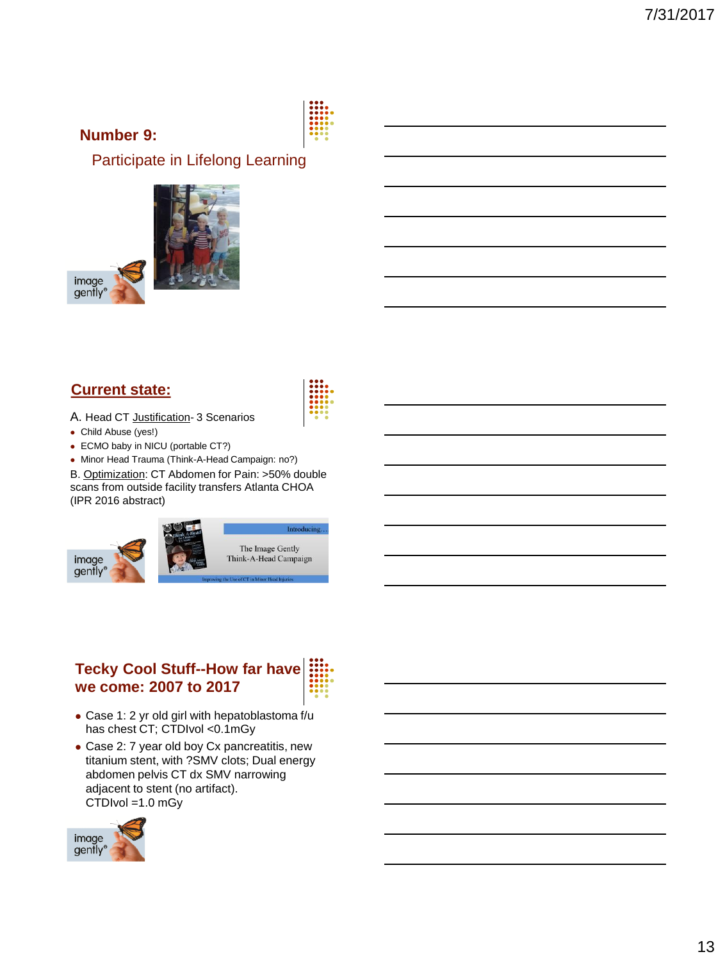## **Number 9:**

Participate in Lifelong Learning



## **Current state:**

- A. Head CT Justification- 3 Scenarios
- Child Abuse (yes!)
- ECMO baby in NICU (portable CT?)
- Minor Head Trauma (Think-A-Head Campaign: no?)

B. Optimization: CT Abdomen for Pain: >50% double scans from outside facility transfers Atlanta CHOA (IPR 2016 abstract)



## **Tecky Cool Stuff--How far have we come: 2007 to 2017**

- Case 1: 2 yr old girl with hepatoblastoma f/u has chest CT; CTDIvol <0.1mGy
- Case 2: 7 year old boy Cx pancreatitis, new titanium stent, with ?SMV clots; Dual energy abdomen pelvis CT dx SMV narrowing adjacent to stent (no artifact). CTDIvol =1.0 mGy

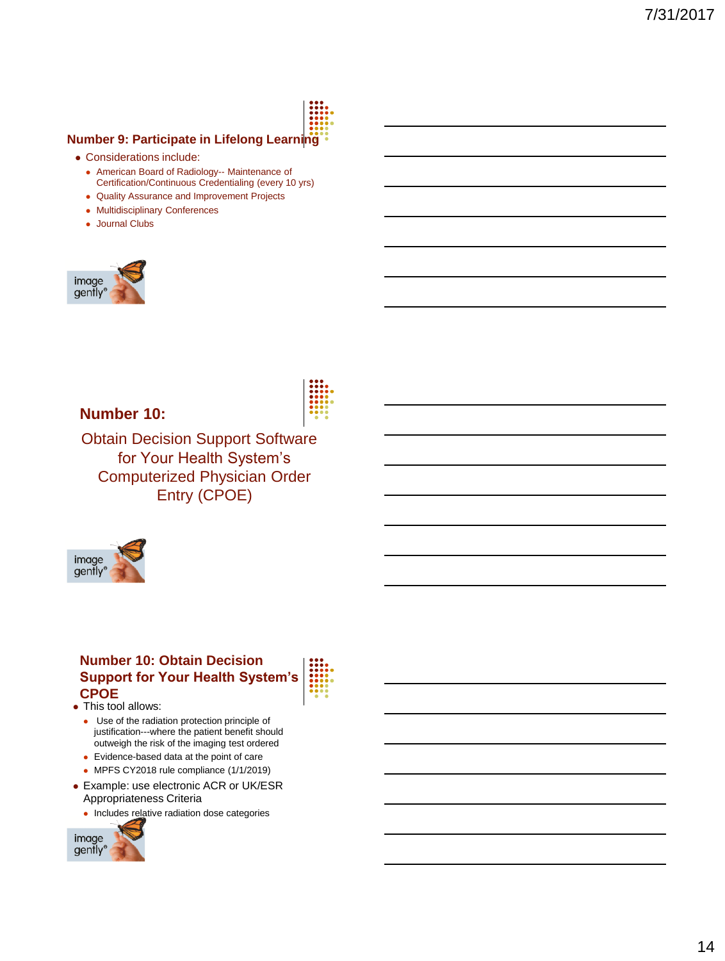

#### **Number 9: Participate in Lifelong Learning**

- Considerations include:
	- American Board of Radiology-- Maintenance of Certification/Continuous Credentialing (every 10 yrs)
	- Quality Assurance and Improvement Projects
	- Multidisciplinary Conferences
	- Journal Clubs



**Number 10:**

Obtain Decision Support Software for Your Health System's Computerized Physician Order Entry (CPOE)



#### **Number 10: Obtain Decision Support for Your Health System's CPOE**

• This tool allows:

- Use of the radiation protection principle of justification---where the patient benefit should outweigh the risk of the imaging test ordered
- Evidence-based data at the point of care
- MPFS CY2018 rule compliance (1/1/2019)
- Example: use electronic ACR or UK/ESR Appropriateness Criteria
	- Includes relative radiation dose categories

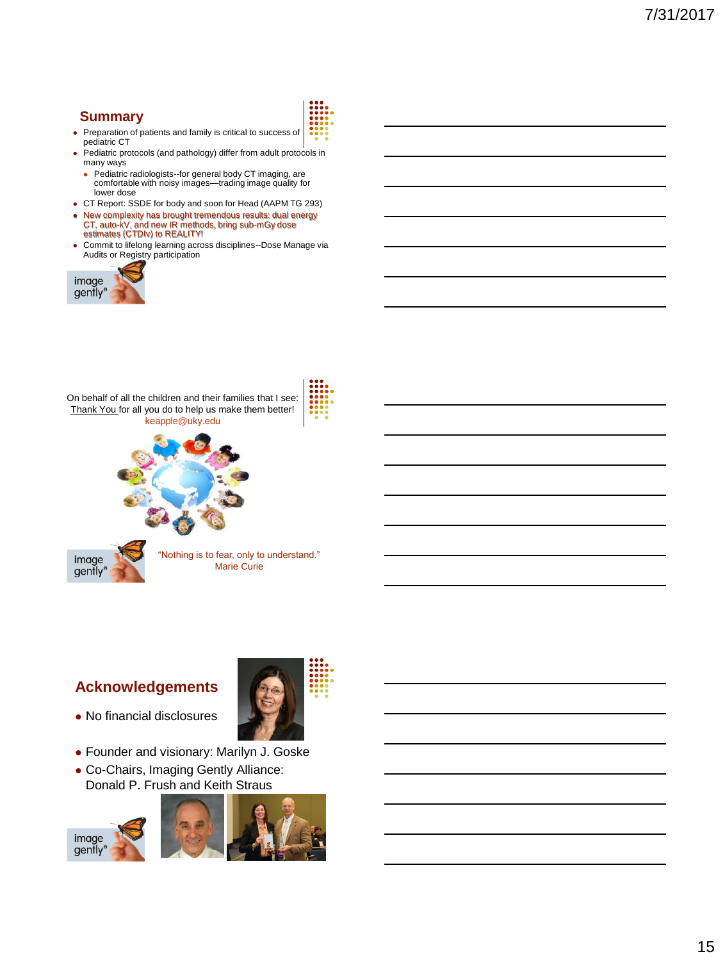#### **Summary**



- Preparation of patients and family is critical to success of pediatric CT
- Pediatric protocols (and pathology) differ from adult protocols in many ways
	- Pediatric radiologists--for general body CT imaging, are comfortable with noisy images—trading image quality for lower dose
- CT Report: SSDE for body and soon for Head (AAPM TG 293)
- New complexity has brought tremendous results: dual energy CT, auto-kV, and new IR methods, bring sub-mGy dose estimates (CTDIv) to REALITY!
- Commit to lifelong learning across disciplines--Dose Manage via Audits or Registry participation





## **Acknowledgements**



- No financial disclosures
- Founder and visionary: Marilyn J. Goske
- Co-Chairs, Imaging Gently Alliance: Donald P. Frush and Keith Straus